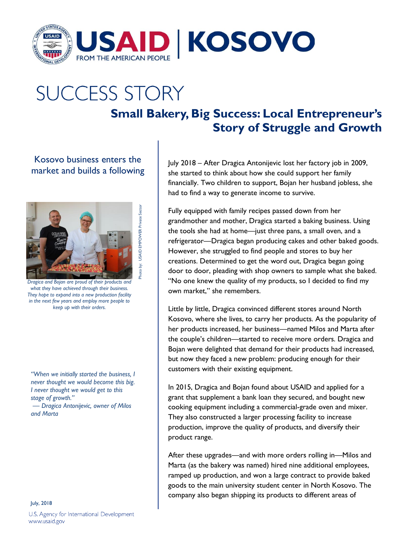

## **SUCCESS STORY**

## **Small Bakery, Big Success: Local Entrepreneur's Story of Struggle and Growth**

Kosovo business enters the market and builds a following



Photo by: USAID EMPOWER Private Sector

by: USAID EMPOWER Private Sector

*Dragica and Bojan are proud of their products and what they have achieved through their business. They hope to expand into a new production facility in the next few years and employ more people to keep up with their orders.*

*"When we initially started the business, I never thought we would become this big. I never thought we would get to this stage of growth."*

*— Dragica Antonijevic, owner of Milos and Marta*

July, 2018 U.S. Agency for International Development www.usaid.gov

July 2018 – After Dragica Antonijevic lost her factory job in 2009, she started to think about how she could support her family financially. Two children to support, Bojan her husband jobless, she had to find a way to generate income to survive.

Fully equipped with family recipes passed down from her grandmother and mother, Dragica started a baking business. Using the tools she had at home—just three pans, a small oven, and a refrigerator—Dragica began producing cakes and other baked goods. However, she struggled to find people and stores to buy her creations. Determined to get the word out, Dragica began going door to door, pleading with shop owners to sample what she baked. "No one knew the quality of my products, so I decided to find my own market," she remembers.

Little by little, Dragica convinced different stores around North Kosovo, where she lives, to carry her products. As the popularity of her products increased, her business—named Milos and Marta after the couple's children—started to receive more orders. Dragica and Bojan were delighted that demand for their products had increased, but now they faced a new problem: producing enough for their customers with their existing equipment.

In 2015, Dragica and Bojan found about USAID and applied for a grant that supplement a bank loan they secured, and bought new cooking equipment including a commercial-grade oven and mixer. They also constructed a larger processing facility to increase production, improve the quality of products, and diversify their product range.

After these upgrades—and with more orders rolling in—Milos and Marta (as the bakery was named) hired nine additional employees, ramped up production, and won a large contract to provide baked goods to the main university student center in North Kosovo. The company also began shipping its products to different areas of